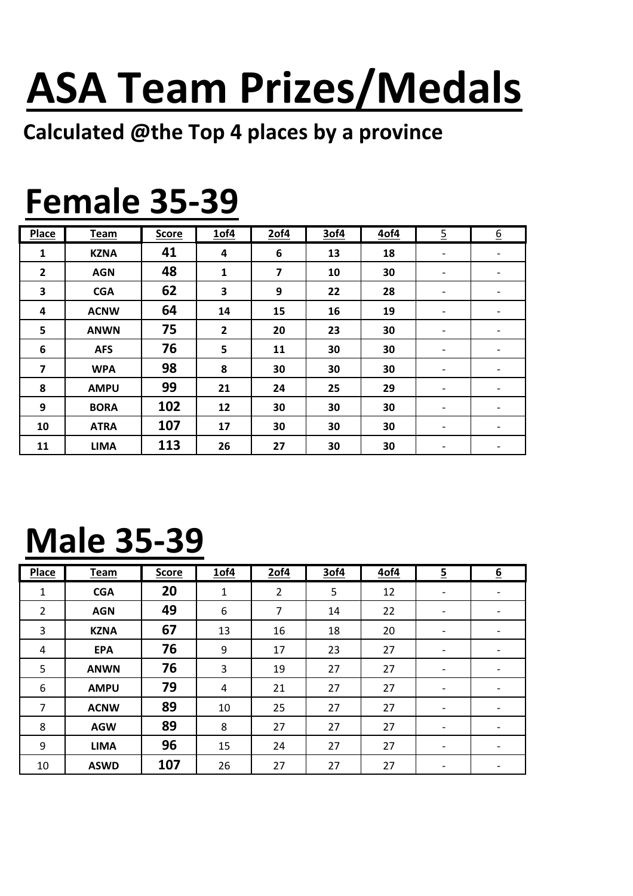# ASA Team Prizes/Medals

#### Calculated @the Top 4 places by a province

### Female 35-39

| <b>Place</b>            | Team        | <b>Score</b> | 1of4         | 2of4                    | 3of4 | 4of4 | $\overline{5}$           | $6 \overline{6}$         |
|-------------------------|-------------|--------------|--------------|-------------------------|------|------|--------------------------|--------------------------|
| 1                       | <b>KZNA</b> | 41           | 4            | 6                       | 13   | 18   | $\overline{\phantom{a}}$ |                          |
| $\overline{\mathbf{2}}$ | <b>AGN</b>  | 48           | $\mathbf{1}$ | $\overline{\mathbf{z}}$ | 10   | 30   | $\overline{\phantom{a}}$ |                          |
| 3                       | <b>CGA</b>  | 62           | 3            | 9                       | 22   | 28   | $\overline{\phantom{a}}$ | $\overline{\phantom{0}}$ |
| 4                       | <b>ACNW</b> | 64           | 14           | 15                      | 16   | 19   | $\overline{\phantom{a}}$ |                          |
| 5                       | <b>ANWN</b> | 75           | $\mathbf{2}$ | 20                      | 23   | 30   | $\overline{\phantom{a}}$ |                          |
| 6                       | <b>AFS</b>  | 76           | 5            | 11                      | 30   | 30   | $\overline{\phantom{a}}$ |                          |
| 7                       | <b>WPA</b>  | 98           | 8            | 30                      | 30   | 30   | $\overline{\phantom{a}}$ |                          |
| 8                       | <b>AMPU</b> | 99           | 21           | 24                      | 25   | 29   | $\overline{\phantom{a}}$ |                          |
| 9                       | <b>BORA</b> | 102          | 12           | 30                      | 30   | 30   | $\overline{\phantom{a}}$ |                          |
| 10                      | <b>ATRA</b> | 107          | 17           | 30                      | 30   | 30   | $\overline{\phantom{a}}$ |                          |
| 11                      | <b>LIMA</b> | 113          | 26           | 27                      | 30   | 30   | $\overline{\phantom{a}}$ |                          |

## Male 35-39

| Place          | <b>Team</b> | <b>Score</b> | 1of4         | 2of4           | 3of4 | 4of4 | $\overline{5}$               | $6 \overline{6}$         |
|----------------|-------------|--------------|--------------|----------------|------|------|------------------------------|--------------------------|
| $\mathbf{1}$   | <b>CGA</b>  | 20           | $\mathbf{1}$ | $\overline{2}$ | 5    | 12   | $\overline{\phantom{a}}$     |                          |
| $\overline{2}$ | <b>AGN</b>  | 49           | 6            | $\overline{7}$ | 14   | 22   | $\qquad \qquad \blacksquare$ |                          |
| 3              | <b>KZNA</b> | 67           | 13           | 16             | 18   | 20   | $\overline{\phantom{a}}$     |                          |
| $\overline{4}$ | <b>EPA</b>  | 76           | 9            | 17             | 23   | 27   | $\qquad \qquad$              |                          |
| 5              | <b>ANWN</b> | 76           | 3            | 19             | 27   | 27   | $\overline{\phantom{a}}$     |                          |
| 6              | <b>AMPU</b> | 79           | 4            | 21             | 27   | 27   | $\overline{\phantom{a}}$     |                          |
| $\overline{7}$ | <b>ACNW</b> | 89           | 10           | 25             | 27   | 27   | $\overline{\phantom{a}}$     | $\overline{\phantom{a}}$ |
| 8              | <b>AGW</b>  | 89           | 8            | 27             | 27   | 27   | $\overline{\phantom{a}}$     |                          |
| 9              | <b>LIMA</b> | 96           | 15           | 24             | 27   | 27   | $\qquad \qquad \blacksquare$ |                          |
| 10             | <b>ASWD</b> | 107          | 26           | 27             | 27   | 27   | $\overline{\phantom{a}}$     |                          |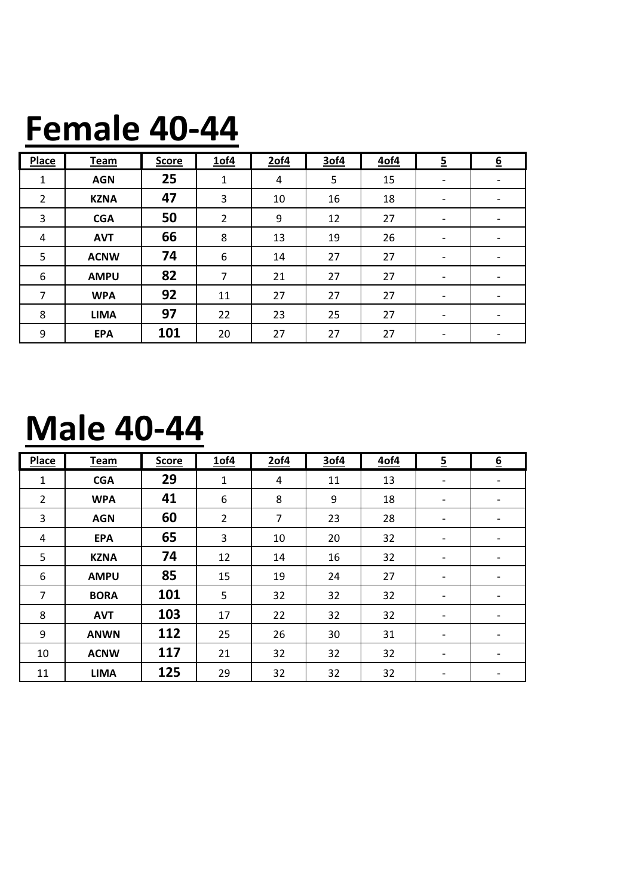#### Female 40-44

| <b>Place</b>   | <b>Team</b> | <b>Score</b> | 1of4           | $2$ of4 | 3of4 | 4of4 | $\overline{5}$           | 6 |
|----------------|-------------|--------------|----------------|---------|------|------|--------------------------|---|
| $\mathbf{1}$   | <b>AGN</b>  | 25           | 1              | 4       | 5    | 15   | $\overline{\phantom{a}}$ |   |
| $\overline{2}$ | <b>KZNA</b> | 47           | 3              | 10      | 16   | 18   | $\overline{\phantom{a}}$ |   |
| 3              | <b>CGA</b>  | 50           | $\overline{2}$ | 9       | 12   | 27   | $\overline{\phantom{a}}$ |   |
| $\overline{4}$ | <b>AVT</b>  | 66           | 8              | 13      | 19   | 26   | $\overline{\phantom{a}}$ |   |
| 5              | <b>ACNW</b> | 74           | 6              | 14      | 27   | 27   | $\overline{\phantom{a}}$ |   |
| 6              | <b>AMPU</b> | 82           | 7              | 21      | 27   | 27   | $\overline{\phantom{a}}$ |   |
| 7              | <b>WPA</b>  | 92           | 11             | 27      | 27   | 27   | $\overline{\phantom{a}}$ |   |
| 8              | <b>LIMA</b> | 97           | 22             | 23      | 25   | 27   | $\overline{\phantom{a}}$ |   |
| 9              | <b>EPA</b>  | 101          | 20             | 27      | 27   | 27   |                          |   |

#### Male 40-44

| Place          | <b>Team</b> | <b>Score</b> | 1of4           | 2of4 | 3of4 | 4of4 | $\overline{5}$           | 6                        |
|----------------|-------------|--------------|----------------|------|------|------|--------------------------|--------------------------|
| 1              | <b>CGA</b>  | 29           | $\mathbf{1}$   | 4    | 11   | 13   | -                        |                          |
| $\overline{2}$ | <b>WPA</b>  | 41           | 6              | 8    | 9    | 18   | $\overline{\phantom{a}}$ |                          |
| 3              | <b>AGN</b>  | 60           | $\overline{2}$ | 7    | 23   | 28   | $\overline{\phantom{a}}$ |                          |
| 4              | <b>EPA</b>  | 65           | 3              | 10   | 20   | 32   | $\overline{\phantom{a}}$ |                          |
| 5              | <b>KZNA</b> | 74           | 12             | 14   | 16   | 32   | -                        | $\overline{\phantom{a}}$ |
| 6              | <b>AMPU</b> | 85           | 15             | 19   | 24   | 27   | $\overline{\phantom{a}}$ | -                        |
| 7              | <b>BORA</b> | 101          | 5              | 32   | 32   | 32   | $\overline{\phantom{a}}$ |                          |
| 8              | <b>AVT</b>  | 103          | 17             | 22   | 32   | 32   | $\overline{\phantom{a}}$ |                          |
| 9              | <b>ANWN</b> | 112          | 25             | 26   | 30   | 31   | $\overline{\phantom{a}}$ | $\overline{\phantom{a}}$ |
| 10             | <b>ACNW</b> | 117          | 21             | 32   | 32   | 32   | $\overline{\phantom{a}}$ | $\overline{\phantom{a}}$ |
| 11             | <b>LIMA</b> | 125          | 29             | 32   | 32   | 32   | $\overline{\phantom{a}}$ |                          |